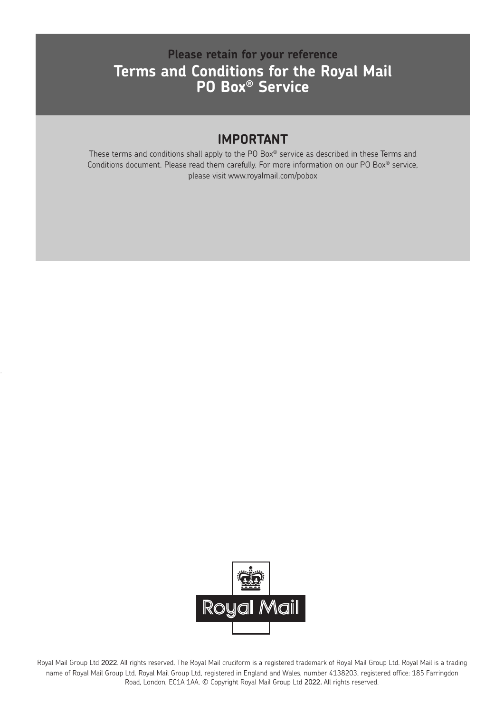# **Please retain for your reference Terms and Conditions for the Royal Mail PO Box® Service**

### **IMPORTANT**

These terms and conditions shall apply to the PO Box® service as described in these Terms and Conditions document. Please read them carefully. For more information on our PO Box® service, please visit www.royalmail.com/pobox



Royal Mail Group Ltd 2022. All rights reserved. The Royal Mail cruciform is a registered trademark of Royal Mail Group Ltd. Royal Mail is a trading name of Royal Mail Group Ltd. Royal Mail Group Ltd, registered in England and Wales, number 4138203, registered office: 185 Farringdon Road, London, EC1A 1AA. © Copyright Royal Mail Group Ltd 2022. All rights reserved.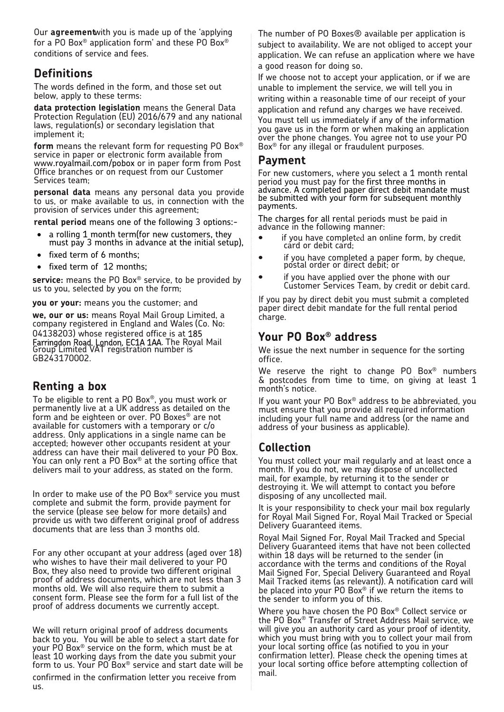Our **agreement**with you is made up of the 'applying for a PO Box® application form' and these PO Box® conditions of service and fees.

#### **Definitions**

The words defined in the form, and those set out below, apply to these terms:

**data protection legislation** means the General Data Protection Regulation (EU) 2016/679 and any national laws, regulation(s) or secondary legislation that implement it;

**form** means the relevant form for requesting PO Box® service in paper or electronic form available from www.royalmail.com/pobox or in paper form from Post Office branches or on request from our Customer Services team;

**personal data** means any personal data you provide to us, or make available to us, in connection with the provision of services under this agreement;

**rental period** means one of the following 3 options:-

- a rolling 1 month term(for new customers, they must pay 3 months in advance at the initial setup),
- fixed term of 6 months;
- fixed term of 12 months;

**service:** means the PO Box® service, to be provided by us to you, selected by you on the form;

**you or your:** means you the customer; and

**we, our or us:** means Royal Mail Group Limited, a company registered in England and Wales (Co. No: 04138203) whose registered office is at 185 Farringdon Road, London, EC1A 1AA. The Royal Mail Group Limited VAT registration number is GB243170002.

#### **Renting a box**

To be eligible to rent a PO Box®, you must work or permanently live at a UK address as detailed on the form and be eighteen or over. PO Boxes® are not available for customers with a temporary or c/o address. Only applications in a single name can be accepted; however other occupants resident at your address can have their mail delivered to your PO Box. You can only rent a PO Box® at the sorting office that delivers mail to your address, as stated on the form.

In order to make use of the PO Box® service you must complete and submit the form, provide payment for the service (please see below for more details) and provide us with two different original proof of address documents that are less than 3 months old.

For any other occupant at your address (aged over 18) who wishes to have their mail delivered to your PO Box, they also need to provide two different original proof of address documents, which are not less than 3 months old. We will also require them to submit a consent form. Please see the form for a full list of the proof of address documents we currently accept.

We will return original proof of address documents back to you. You will be able to select a start date for your PO Box® service on the form, which must be at least 10 working days from the date you submit your form to us. Your PO Box® service and start date will be

confirmed in the confirmation letter you receive from us.

The number of PO Boxes® available per application is subject to availability. We are not obliged to accept your application. We can refuse an application where we have a good reason for doing so.

If we choose not to accept your application, or if we are unable to implement the service, we will tell you in writing within a reasonable time of our receipt of your application and refund any charges we have received. You must tell us immediately if any of the information you gave us in the form or when making an application over the phone changes. You agree not to use your PO Box® for any illegal or fraudulent purposes.

#### **Payment**

For new customers, where you select a 1 month rental period you must pay for the first three months in advance. A completed paper direct debit mandate must be submitted with your form for subsequent monthly payments.

The charges for all rental periods must be paid in advance in the following manner:

- if you have completed an online form, by credit card or debit card;
- if you have completed a paper form, by cheque, postal order or direct debit; or
- if you have applied over the phone with our Customer Services Team, by credit or debit card.

If you pay by direct debit you must submit a completed paper direct debit mandate for the full rental period charge.

### **Your PO Box® address**

We issue the next number in sequence for the sorting office.

We reserve the right to change PO Box<sup>®</sup> numbers & postcodes from time to time, on giving at least 1 month's notice.

If you want your PO Box® address to be abbreviated, you must ensure that you provide all required information including your full name and address (or the name and address of your business as applicable).

### **Collection**

You must collect your mail regularly and at least once a month. If you do not, we may dispose of uncollected mail, for example, by returning it to the sender or destroying it. We will attempt to contact you before disposing of any uncollected mail.

It is your responsibility to check your mail box regularly for Royal Mail Signed For, Royal Mail Tracked or Special Delivery Guaranteed items.

Royal Mail Signed For, Royal Mail Tracked and Special Delivery Guaranteed items that have not been collected within 18 days will be returned to the sender (in accordance with the terms and conditions of the Royal Mail Signed For, Special Delivery Guaranteed and Royal Mail Tracked items (as relevant)). A notification card will be placed into your PO Box® if we return the items to the sender to inform you of this.

Where you have chosen the PO Box® Collect service or the PO Box® Transfer of Street Address Mail service, we will give you an authority card as your proof of identity, which you must bring with you to collect your mail from your local sorting office (as notified to you in your confirmation letter). Please check the opening times at your local sorting office before attempting collection of mail.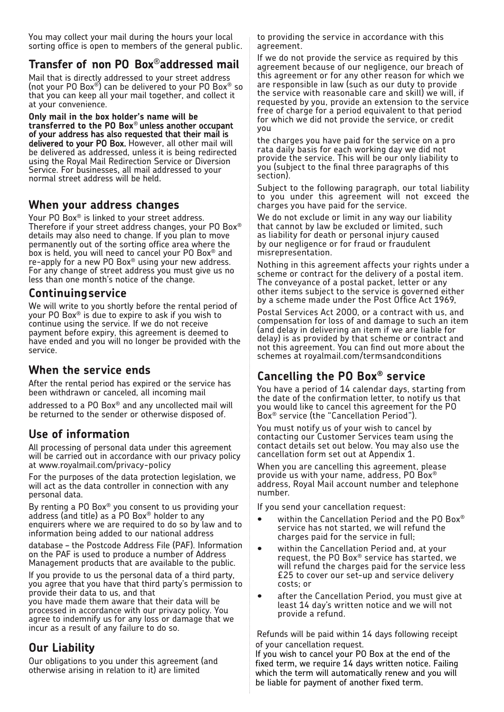You may collect your mail during the hours your local sorting office is open to members of the general public.

# **Transfer of non PO Box** ®**addressed mail**

Mail that is directly addressed to your street address (not your PO Box®) can be delivered to your PO Box® so that you can keep all your mail together, and collect it at your convenience.

**Only mail in the box holder's name will be transferred to the PO Box**® unless another occupant of your address has also requested that their mail is delivered to your PO Box. However, all other mail will be delivered as addressed, unless it is being redirected using the Royal Mail Redirection Service or Diversion Service. For businesses, all mail addressed to your normal street address will be held.

#### **When your address changes**

Your PO Box® is linked to your street address. Therefore if your street address changes, your PO Box ® details may also need to change. If you plan to move permanently out of the sorting office area where the box is held, you will need to cancel your PO Box® and re-apply for a new PO Box® using your new address. For any change of street address you must give us no less than one month's notice of the change.

#### **Continuingservice**

We will write to you shortly before the rental period of your PO Box® is due to expire to ask if you wish to continue using the service. If we do not receive payment before expiry, this agreement is deemed to have ended and you will no longer be provided with the service.

### **When the service ends**

After the rental period has expired or the service has been withdrawn or canceled, all incoming mail

addressed to a PO Box® and any uncollected mail will be returned to the sender or otherwise disposed of.

### **Use of information**

All processing of personal data under this agreement will be carried out in accordance with our privacy policy at www.royalmail.com/privacy-policy

For the purposes of the data protection legislation, we will act as the data controller in connection with any personal data.

By renting a PO Box® you consent to us providing your address (and title) as a PO Box® holder to any enquirers where we are required to do so by law and to information being added to our national address

database – the Postcode Address File (PAF). Information on the PAF is used to produce a number of Address Management products that are available to the public.

If you provide to us the personal data of a third party, you agree that you have that third party's permission to provide their data to us, and that

you have made them aware that their data will be processed in accordance with our privacy policy. You agree to indemnify us for any loss or damage that we incur as a result of any failure to do so.

## **Our Liability**

Our obligations to you under this agreement (and otherwise arising in relation to it) are limited

to providing the service in accordance with this agreement.

If we do not provide the service as required by this agreement because of our negligence, our breach of this agreement or for any other reason for which we are responsible in law (such as our duty to provide the service with reasonable care and skill) we will, if requested by you, provide an extension to the service free of charge for a period equivalent to that period for which we did not provide the service, or credit you

the charges you have paid for the service on a pro rata daily basis for each working day we did not provide the service. This will be our only liability to you (subject to the final three paragraphs of this section).

Subject to the following paragraph, our total liability to you under this agreement will not exceed the charges you have paid for the service.

We do not exclude or limit in any way our liability that cannot by law be excluded or limited, such as liability for death or personal injury caused by our negligence or for fraud or fraudulent misrepresentation.

Nothing in this agreement affects your rights under a scheme or contract for the delivery of a postal item. The conveyance of a postal packet, letter or any other items subject to the service is governed either by a scheme made under the Post Office Act 1969,

Postal Services Act 2000, or a contract with us, and compensation for loss of and damage to such an item (and delay in delivering an item if we are liable for delay) is as provided by that scheme or contract and not this agreement. You can find out more about the schemes at royalmail.com/termsandconditions

# **Cancelling the PO Box® service**

You have a period of 14 calendar days, starting from the date of the confirmation letter, to notify us that you would like to cancel this agreement for the PO Box® service (the "Cancellation Period").

You must notify us of your wish to cancel by contacting our Customer Services team using the contact details set out below. You may also use the cancellation form set out at Appendix 1.

When you are cancelling this agreement, please provide us with your name, address, PO Box® address, Royal Mail account number and telephone number.

If you send your cancellation request:

- within the Cancellation Period and the PO Box<sup>®</sup> service has not started, we will refund the charges paid for the service in full;
- within the Cancellation Period and, at your request, the PO Box® service has started, we will refund the charges paid for the service less £25 to cover our set-up and service delivery costs; or
- after the Cancellation Period, you must give at least 14 day's written notice and we will not provide a refund.

Refunds will be paid within 14 days following receipt of your cancellation request.

If you wish to cancel your PO Box at the end of the fixed term, we require 14 days written notice. Failing which the term will automatically renew and you will be liable for payment of another fixed term.